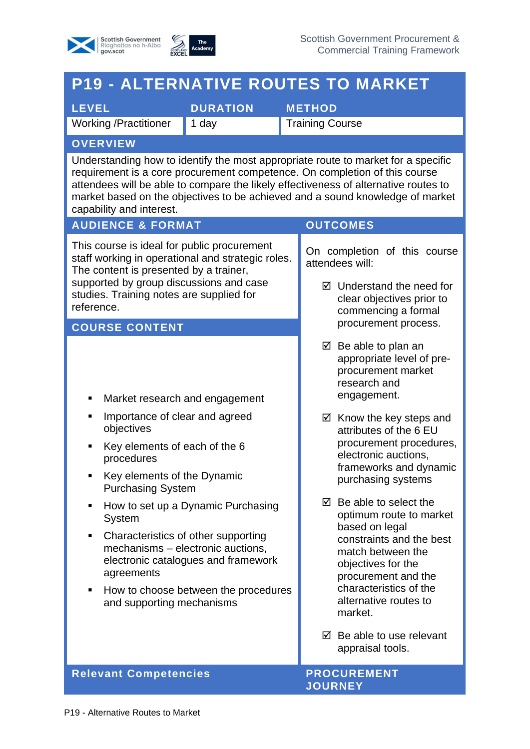



## **P19 - ALTERNATIVE ROUTES TO MARKET**

**LEVEL DURATION METHOD**

Working /Practitioner 1 day Training Course

### **OVERVIEW**

Understanding how to identify the most appropriate route to market for a specific requirement is a core procurement competence. On completion of this course attendees will be able to compare the likely effectiveness of alternative routes to market based on the objectives to be achieved and a sound knowledge of market capability and interest.

#### **AUDIENCE & FORMAT OUTCOMES**

This course is ideal for public procurement staff working in operational and strategic roles. The content is presented by a trainer, supported by group discussions and case studies. Training notes are supplied for reference.

#### **COURSE CONTENT**

- Market research and engagement
- Importance of clear and agreed objectives
- Key elements of each of the 6 procedures
- Key elements of the Dynamic Purchasing System
- How to set up a Dynamic Purchasing System
- Characteristics of other supporting mechanisms – electronic auctions, electronic catalogues and framework agreements
- How to choose between the procedures and supporting mechanisms

On completion of this course attendees will:

- $\boxtimes$  Understand the need for clear objectives prior to commencing a formal procurement process.
- $\boxtimes$  Be able to plan an appropriate level of preprocurement market research and engagement.
- $\boxtimes$  Know the key steps and attributes of the 6 EU procurement procedures, electronic auctions, frameworks and dynamic purchasing systems
- $\boxtimes$  Be able to select the optimum route to market based on legal constraints and the best match between the objectives for the procurement and the characteristics of the alternative routes to market.
- $\boxtimes$  Be able to use relevant appraisal tools.

#### **Relevant Competencies And Allen PROCUREMENT**

# **JOURNEY**